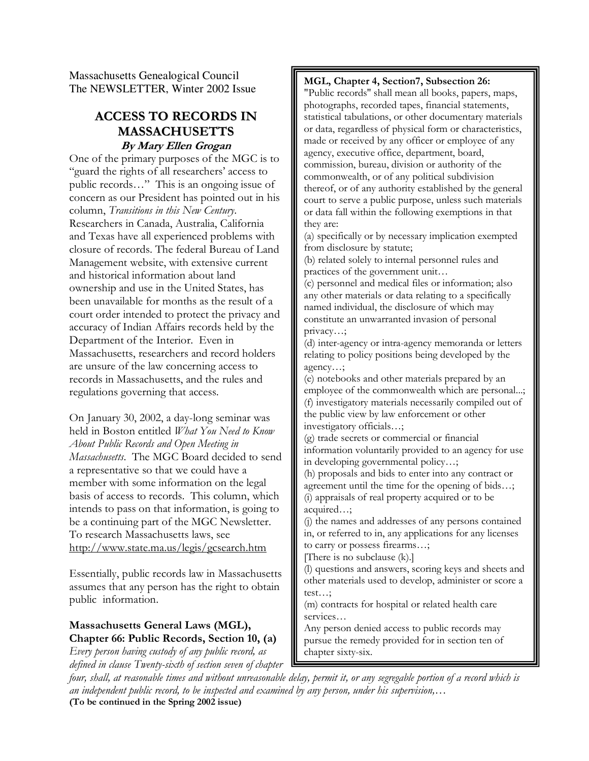Massachusetts Genealogical Council The NEWSLETTER, Winter 2002 Issue

### ACCESS TO RECORDS IN MASSACHUSETTS By Mary Ellen Grogan

One of the primary purposes of the MGC is to "guard the rights of all researchers' access to public records…" This is an ongoing issue of concern as our President has pointed out in his column, Transitions in this New Century. Researchers in Canada, Australia, California and Texas have all experienced problems with closure of records. The federal Bureau of Land Management website, with extensive current and historical information about land ownership and use in the United States, has been unavailable for months as the result of a court order intended to protect the privacy and accuracy of Indian Affairs records held by the Department of the Interior. Even in Massachusetts, researchers and record holders are unsure of the law concerning access to records in Massachusetts, and the rules and regulations governing that access.

On January 30, 2002, a day-long seminar was held in Boston entitled What You Need to Know About Public Records and Open Meeting in Massachusetts. The MGC Board decided to send a representative so that we could have a member with some information on the legal basis of access to records. This column, which intends to pass on that information, is going to be a continuing part of the MGC Newsletter. To research Massachusetts laws, see http://www.state.ma.us/legis/gcsearch.htm

Essentially, public records law in Massachusetts assumes that any person has the right to obtain public information.

### Massachusetts General Laws (MGL), Chapter 66: Public Records, Section 10, (a)

Every person having custody of any public record, as defined in clause Twenty-sixth of section seven of chapter MGL, Chapter 4, Section7, Subsection 26:

"Public records'' shall mean all books, papers, maps, photographs, recorded tapes, financial statements, statistical tabulations, or other documentary materials or data, regardless of physical form or characteristics, made or received by any officer or employee of any agency, executive office, department, board, commission, bureau, division or authority of the commonwealth, or of any political subdivision thereof, or of any authority established by the general court to serve a public purpose, unless such materials or data fall within the following exemptions in that they are:

(a) specifically or by necessary implication exempted from disclosure by statute;

(b) related solely to internal personnel rules and practices of the government unit…

(c) personnel and medical files or information; also any other materials or data relating to a specifically named individual, the disclosure of which may constitute an unwarranted invasion of personal privacy…;

(d) inter-agency or intra-agency memoranda or letters relating to policy positions being developed by the agency…;

(e) notebooks and other materials prepared by an employee of the commonwealth which are personal...; (f) investigatory materials necessarily compiled out of the public view by law enforcement or other investigatory officials…;

(g) trade secrets or commercial or financial information voluntarily provided to an agency for use in developing governmental policy…;

(h) proposals and bids to enter into any contract or agreement until the time for the opening of bids…; (i) appraisals of real property acquired or to be acquired…;

(j) the names and addresses of any persons contained in, or referred to in, any applications for any licenses to carry or possess firearms…;

[There is no subclause (k).]

(l) questions and answers, scoring keys and sheets and other materials used to develop, administer or score a test…;

(m) contracts for hospital or related health care services…

Any person denied access to public records may pursue the remedy provided for in section ten of chapter sixty-six.

four, shall, at reasonable times and without unreasonable delay, permit it, or any segregable portion of a record which is an independent public record, to be inspected and examined by any person, under his supervision,… (To be continued in the Spring 2002 issue)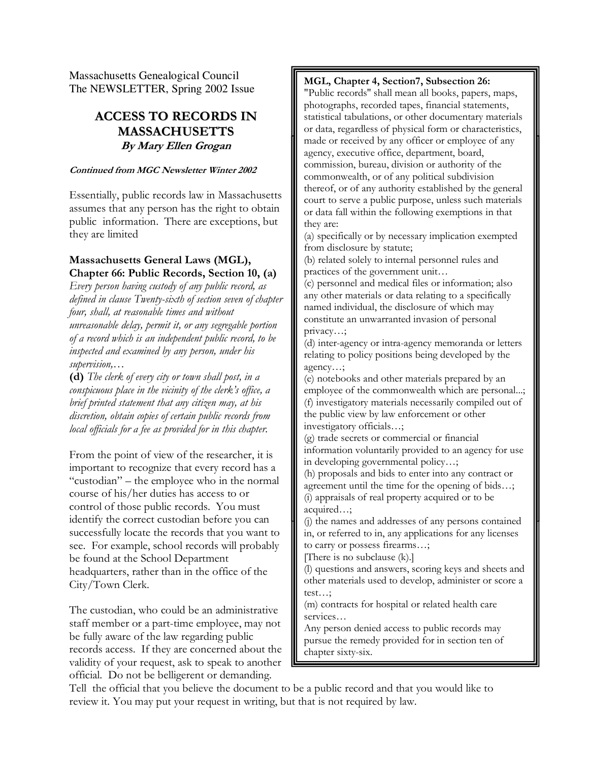Massachusetts Genealogical Council The NEWSLETTER, Spring 2002 Issue

## ACCESS TO RECORDS IN MASSACHUSETTS By Mary Ellen Grogan

#### Continued from MGC Newsletter Winter 2002

Essentially, public records law in Massachusetts assumes that any person has the right to obtain public information. There are exceptions, but they are limited

### Massachusetts General Laws (MGL), Chapter 66: Public Records, Section 10, (a)

Every person having custody of any public record, as defined in clause Twenty-sixth of section seven of chapter four, shall, at reasonable times and without unreasonable delay, permit it, or any segregable portion of a record which is an independent public record, to be inspected and examined by any person, under his supervision,…

(d) The clerk of every city or town shall post, in a conspicuous place in the vicinity of the clerk's office, a brief printed statement that any citizen may, at his discretion, obtain copies of certain public records from local officials for a fee as provided for in this chapter.

From the point of view of the researcher, it is important to recognize that every record has a "custodian" – the employee who in the normal course of his/her duties has access to or control of those public records. You must identify the correct custodian before you can successfully locate the records that you want to see. For example, school records will probably be found at the School Department headquarters, rather than in the office of the City/Town Clerk.

The custodian, who could be an administrative staff member or a part-time employee, may not be fully aware of the law regarding public records access. If they are concerned about the validity of your request, ask to speak to another official. Do not be belligerent or demanding.

### MGL, Chapter 4, Section7, Subsection 26:

agency, executive office, department, board, commission, bureau, division or authority of the commonwealth, or of any political subdivision court to serve a public purpose, unless such materials "Public records'' shall mean all books, papers, maps, photographs, recorded tapes, financial statements, statistical tabulations, or other documentary materials or data, regardless of physical form or characteristics, made or received by any officer or employee of any thereof, or of any authority established by the general or data fall within the following exemptions in that they are:

Incy are.<br>(a) specifically or by necessary implication exempted (a) opening of by necessary impression enempts from disclosure by statute;

(b) related solely to internal personnel rules and practices of the government unit…

(c) personnel and medical files or information; also any other materials or data relating to a specifically named individual, the disclosure of which may constitute an unwarranted invasion of personal privacy…;

pnvacy...,<br>(d) inter-agency or intra-agency memoranda or letters relating to policy positions being developed by the relating to policy positions being developed by the  $i$  interpretations of the public records  $i$  and  $j$  are computed by  $i$ 

(e) notebooks and other materials prepared by an (f) investigatory materials necessarily compiled out of the public view by law enforcement or other investigatory officials...; employee of the commonwealth which are personal...;

(g) trade secrets or commercial or financial nnonnanon voluntamy provided to an<br>in developing governmental policy...; information voluntarily provided to an agency for use

m developing governmental policy...,<br>(h) proposals and bids to enter into any contract or agreement until the time for the opening of bids…; (i) appraisals of real property acquired or to be acquired…;

(j) the names and addresses of any persons contained in, or referred to in, any applications for any licenses to carry or possess firearms…;

[There is no subclause (k).]

(l) questions and answers, scoring keys and sheets and other materials used to develop, administer or score a test…;

(m) contracts for hospital or related health care services…

Any person denied access to public records may pursue the remedy provided for in section ten of chapter sixty-six.

Tell the official that you believe the document to be a public record and that you would like to review it. You may put your request in writing, but that is not required by law.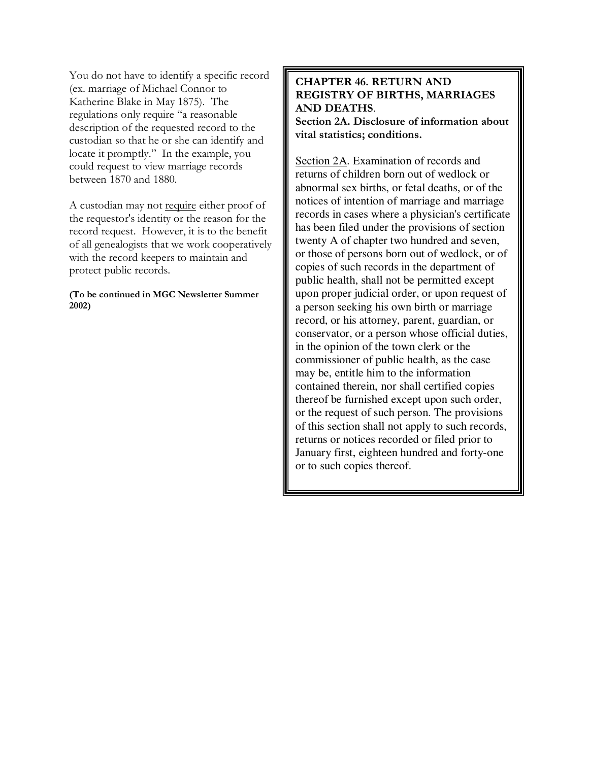You do not have to identify a specific record (ex. marriage of Michael Connor to Katherine Blake in May 1875). The regulations only require "a reasonable description of the requested record to the custodian so that he or she can identify and locate it promptly." In the example, you could request to view marriage records between 1870 and 1880.

A custodian may not require either proof of the requestor's identity or the reason for the record request. However, it is to the benefit of all genealogists that we work cooperatively with the record keepers to maintain and protect public records.

(To be continued in MGC Newsletter Summer 2002)

### CHAPTER 46. RETURN AND REGISTRY OF BIRTHS, MARRIAGES AND DEATHS.

Section 2A. Disclosure of information about vital statistics; conditions.

Section 2A. Examination of records and returns of children born out of wedlock or abnormal sex births, or fetal deaths, or of the notices of intention of marriage and marriage records in cases where a physician's certificate has been filed under the provisions of section twenty A of chapter two hundred and seven, or those of persons born out of wedlock, or of copies of such records in the department of public health, shall not be permitted except upon proper judicial order, or upon request of a person seeking his own birth or marriage record, or his attorney, parent, guardian, or conservator, or a person whose official duties, in the opinion of the town clerk or the commissioner of public health, as the case may be, entitle him to the information contained therein, nor shall certified copies thereof be furnished except upon such order, or the request of such person. The provisions of this section shall not apply to such records, returns or notices recorded or filed prior to January first, eighteen hundred and forty-one or to such copies thereof.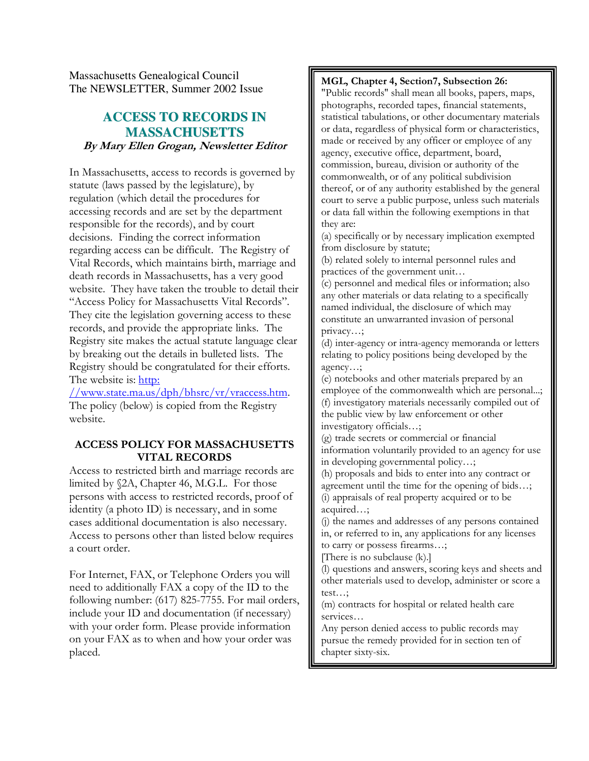Massachusetts Genealogical Council The NEWSLETTER, Summer 2002 Issue

## **ACCESS TO RECORDS IN MASSACHUSETTS** By Mary Ellen Grogan, Newsletter Editor

In Massachusetts, access to records is governed by statute (laws passed by the legislature), by regulation (which detail the procedures for accessing records and are set by the department responsible for the records), and by court decisions. Finding the correct information regarding access can be difficult. The Registry of Vital Records, which maintains birth, marriage and death records in Massachusetts, has a very good website. They have taken the trouble to detail their "Access Policy for Massachusetts Vital Records". They cite the legislation governing access to these records, and provide the appropriate links. The Registry site makes the actual statute language clear by breaking out the details in bulleted lists. The Registry should be congratulated for their efforts. The website is: http:

//www.state.ma.us/dph/bhsrc/vr/vraccess.htm. The policy (below) is copied from the Registry website.

### ACCESS POLICY FOR MASSACHUSETTS VITAL RECORDS

Access to restricted birth and marriage records are limited by §2A, Chapter 46, M.G.L. For those persons with access to restricted records, proof of identity (a photo ID) is necessary, and in some cases additional documentation is also necessary. Access to persons other than listed below requires a court order.

For Internet, FAX, or Telephone Orders you will need to additionally FAX a copy of the ID to the following number: (617) 825-7755. For mail orders, include your ID and documentation (if necessary) with your order form. Please provide information on your FAX as to when and how your order was placed.

### MGL, Chapter 4, Section7, Subsection 26:

"Public records'' shall mean all books, papers, maps, photographs, recorded tapes, financial statements, statistical tabulations, or other documentary materials or data, regardless of physical form or characteristics, made or received by any officer or employee of any agency, executive office, department, board, commission, bureau, division or authority of the commonwealth, or of any political subdivision thereof, or of any authority established by the general court to serve a public purpose, unless such materials or data fall within the following exemptions in that they are:

(a) specifically or by necessary implication exempted from disclosure by statute;

(b) related solely to internal personnel rules and practices of the government unit…

(c) personnel and medical files or information; also any other materials or data relating to a specifically named individual, the disclosure of which may constitute an unwarranted invasion of personal privacy…;

(d) inter-agency or intra-agency memoranda or letters relating to policy positions being developed by the agency…;

(e) notebooks and other materials prepared by an employee of the commonwealth which are personal...; (f) investigatory materials necessarily compiled out of the public view by law enforcement or other investigatory officials…;

(g) trade secrets or commercial or financial information voluntarily provided to an agency for use in developing governmental policy…;

(h) proposals and bids to enter into any contract or agreement until the time for the opening of bids…; (i) appraisals of real property acquired or to be

acquired…;

(j) the names and addresses of any persons contained in, or referred to in, any applications for any licenses to carry or possess firearms…;

[There is no subclause (k).]

(l) questions and answers, scoring keys and sheets and other materials used to develop, administer or score a test…;

(m) contracts for hospital or related health care services…

Any person denied access to public records may pursue the remedy provided for in section ten of chapter sixty-six.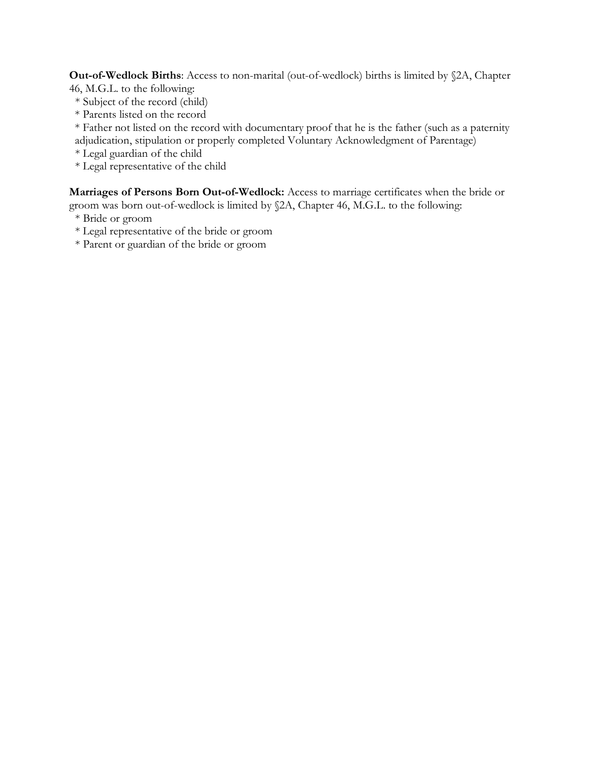Out-of-Wedlock Births: Access to non-marital (out-of-wedlock) births is limited by §2A, Chapter 46, M.G.L. to the following:

- \* Subject of the record (child)
- \* Parents listed on the record

\* Father not listed on the record with documentary proof that he is the father (such as a paternity

adjudication, stipulation or properly completed Voluntary Acknowledgment of Parentage)

\* Legal guardian of the child

\* Legal representative of the child

Marriages of Persons Born Out-of-Wedlock: Access to marriage certificates when the bride or groom was born out-of-wedlock is limited by §2A, Chapter 46, M.G.L. to the following:

- \* Bride or groom
- \* Legal representative of the bride or groom
- \* Parent or guardian of the bride or groom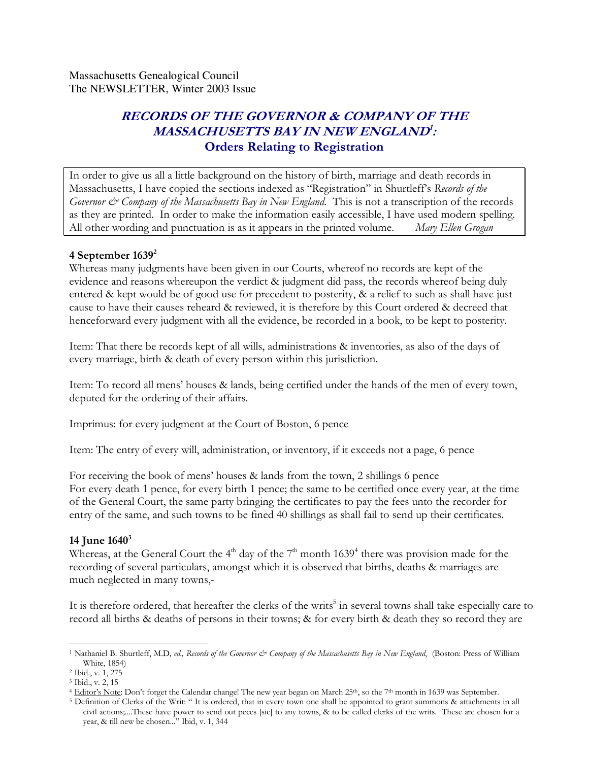Massachusetts Genealogical Council The NEWSLETTER, Winter 2003 Issue

# RECORDS OF THE GOVERNOR & COMPANY OF THE MASSACHUSETTS BAY IN NEW ENGLAND 1 : Orders Relating to Registration

In order to give us all a little background on the history of birth, marriage and death records in Massachusetts, I have copied the sections indexed as "Registration" in Shurtleff's Records of the Governor  $\mathcal{C}$  Company of the Massachusetts Bay in New England. This is not a transcription of the records as they are printed. In order to make the information easily accessible, I have used modern spelling. All other wording and punctuation is as it appears in the printed volume. Mary Ellen Grogan

### 4 September  $1639<sup>2</sup>$

Whereas many judgments have been given in our Courts, whereof no records are kept of the evidence and reasons whereupon the verdict & judgment did pass, the records whereof being duly entered & kept would be of good use for precedent to posterity, & a relief to such as shall have just cause to have their causes reheard & reviewed, it is therefore by this Court ordered & decreed that henceforward every judgment with all the evidence, be recorded in a book, to be kept to posterity.

Item: That there be records kept of all wills, administrations & inventories, as also of the days of every marriage, birth & death of every person within this jurisdiction.

Item: To record all mens' houses & lands, being certified under the hands of the men of every town, deputed for the ordering of their affairs.

Imprimus: for every judgment at the Court of Boston, 6 pence

Item: The entry of every will, administration, or inventory, if it exceeds not a page, 6 pence

For receiving the book of mens' houses & lands from the town, 2 shillings 6 pence For every death 1 pence, for every birth 1 pence; the same to be certified once every year, at the time of the General Court, the same party bringing the certificates to pay the fees unto the recorder for entry of the same, and such towns to be fined 40 shillings as shall fail to send up their certificates.

### 14 June  $1640^3$

Whereas, at the General Court the 4<sup>th</sup> day of the 7<sup>th</sup> month 1639<sup>4</sup> there was provision made for the recording of several particulars, amongst which it is observed that births, deaths & marriages are much neglected in many towns,-

It is therefore ordered, that hereafter the clerks of the writs<sup>5</sup> in several towns shall take especially care to record all births & deaths of persons in their towns; & for every birth & death they so record they are

<sup>-</sup><sup>1</sup> Nathaniel B. Shurtleff, M.D, ed., Records of the Governor & Company of the Massachusetts Bay in New England, (Boston: Press of William White, 1854)

<sup>2</sup> Ibid., v. 1, 275

<sup>3</sup> Ibid., v. 2, 15

<sup>&</sup>lt;sup>4</sup> Editor's Note: Don't forget the Calendar change! The new year began on March 25<sup>th</sup>, so the 7<sup>th</sup> month in 1639 was September.

<sup>5</sup> Definition of Clerks of the Writ: " It is ordered, that in every town one shall be appointed to grant summons & attachments in all civil actions;....These have power to send out peces [sic] to any towns, & to be called clerks of the writs. These are chosen for a year, & till new be chosen..." Ibid, v. 1, 344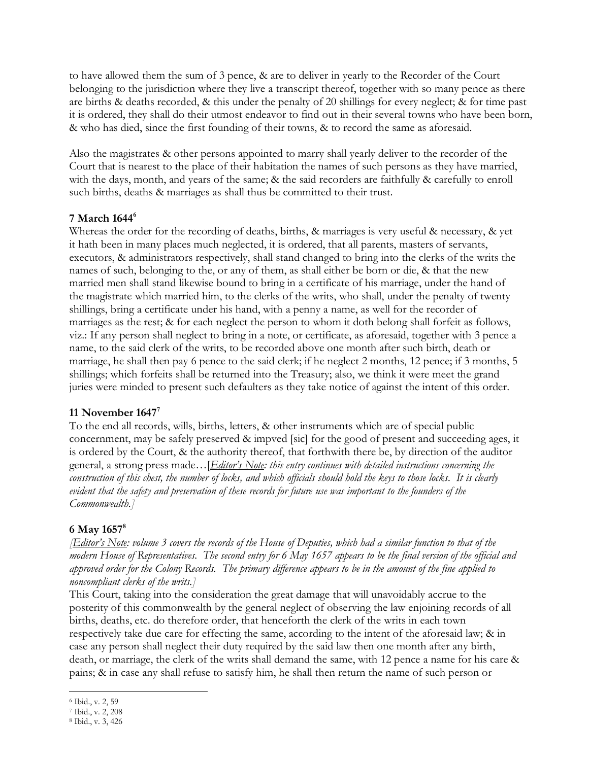to have allowed them the sum of 3 pence, & are to deliver in yearly to the Recorder of the Court belonging to the jurisdiction where they live a transcript thereof, together with so many pence as there are births & deaths recorded, & this under the penalty of 20 shillings for every neglect; & for time past it is ordered, they shall do their utmost endeavor to find out in their several towns who have been born, & who has died, since the first founding of their towns, & to record the same as aforesaid.

Also the magistrates & other persons appointed to marry shall yearly deliver to the recorder of the Court that is nearest to the place of their habitation the names of such persons as they have married, with the days, month, and years of the same; & the said recorders are faithfully & carefully to enroll such births, deaths & marriages as shall thus be committed to their trust.

### 7 March 1644<sup>6</sup>

Whereas the order for the recording of deaths, births, & marriages is very useful & necessary, & yet it hath been in many places much neglected, it is ordered, that all parents, masters of servants, executors, & administrators respectively, shall stand changed to bring into the clerks of the writs the names of such, belonging to the, or any of them, as shall either be born or die, & that the new married men shall stand likewise bound to bring in a certificate of his marriage, under the hand of the magistrate which married him, to the clerks of the writs, who shall, under the penalty of twenty shillings, bring a certificate under his hand, with a penny a name, as well for the recorder of marriages as the rest; & for each neglect the person to whom it doth belong shall forfeit as follows, viz.: If any person shall neglect to bring in a note, or certificate, as aforesaid, together with 3 pence a name, to the said clerk of the writs, to be recorded above one month after such birth, death or marriage, he shall then pay 6 pence to the said clerk; if he neglect 2 months, 12 pence; if 3 months, 5 shillings; which forfeits shall be returned into the Treasury; also, we think it were meet the grand juries were minded to present such defaulters as they take notice of against the intent of this order.

### 11 November  $1647^7$

To the end all records, wills, births, letters, & other instruments which are of special public concernment, may be safely preserved & impved [sic] for the good of present and succeeding ages, it is ordered by the Court, & the authority thereof, that forthwith there be, by direction of the auditor general, a strong press made... [*Editor's Note: this entry continues with detailed instructions concerning the* construction of this chest, the number of locks, and which officials should hold the keys to those locks. It is clearly evident that the safety and preservation of these records for future use was important to the founders of the Commonwealth.]

### 6 May 1657 $^8$

**[Editor's Note:** volume 3 covers the records of the House of Deputies, which had a similar function to that of the modern House of Representatives. The second entry for 6 May 1657 appears to be the final version of the official and approved order for the Colony Records. The primary difference appears to be in the amount of the fine applied to noncompliant clerks of the writs.]

This Court, taking into the consideration the great damage that will unavoidably accrue to the posterity of this commonwealth by the general neglect of observing the law enjoining records of all births, deaths, etc. do therefore order, that henceforth the clerk of the writs in each town respectively take due care for effecting the same, according to the intent of the aforesaid law; & in case any person shall neglect their duty required by the said law then one month after any birth, death, or marriage, the clerk of the writs shall demand the same, with 12 pence a name for his care & pains; & in case any shall refuse to satisfy him, he shall then return the name of such person or

<sup>-</sup><sup>6</sup> Ibid., v. 2, 59

<sup>7</sup> Ibid., v. 2, 208

<sup>8</sup> Ibid., v. 3, 426